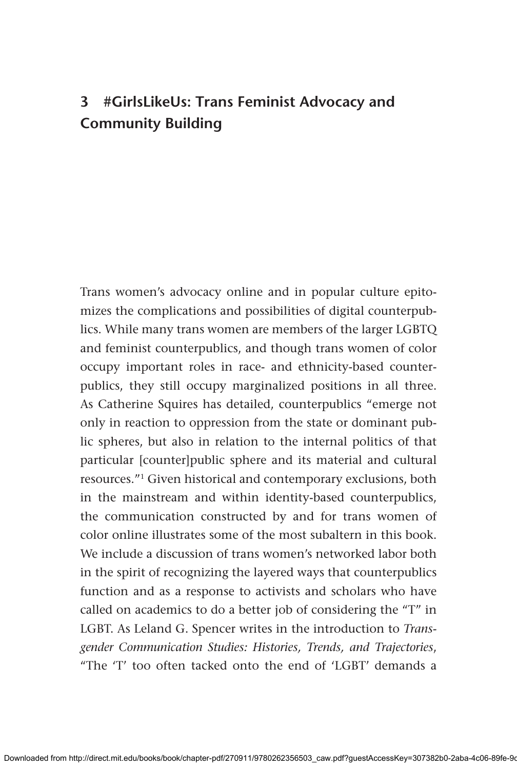## **3 #GirlsLikeUs: Trans Feminist Advocacy and Community Building**

Trans women's advocacy online and in popular culture epitomizes the complications and possibilities of digital counterpublics. While many trans women are members of the larger LGBTQ and feminist counterpublics, and though trans women of color occupy important roles in race- and ethnicity-based counterpublics, they still occupy marginalized positions in all three. As Catherine Squires has detailed, counterpublics "emerge not only in reaction to oppression from the state or dominant public spheres, but also in relation to the internal politics of that particular [counter]public sphere and its material and cultural resources."1 Given historical and contemporary exclusions, both in the mainstream and within identity-based counterpublics, the communication constructed by and for trans women of color online illustrates some of the most subaltern in this book. We include a discussion of trans women's networked labor both in the spirit of recognizing the layered ways that counterpublics function and as a response to activists and scholars who have called on academics to do a better job of considering the "T" in LGBT. As Leland G. Spencer writes in the introduction to *Transgender Communication Studies: Histories, Trends, and Trajectories*, "The 'T' too often tacked onto the end of 'LGBT' demands a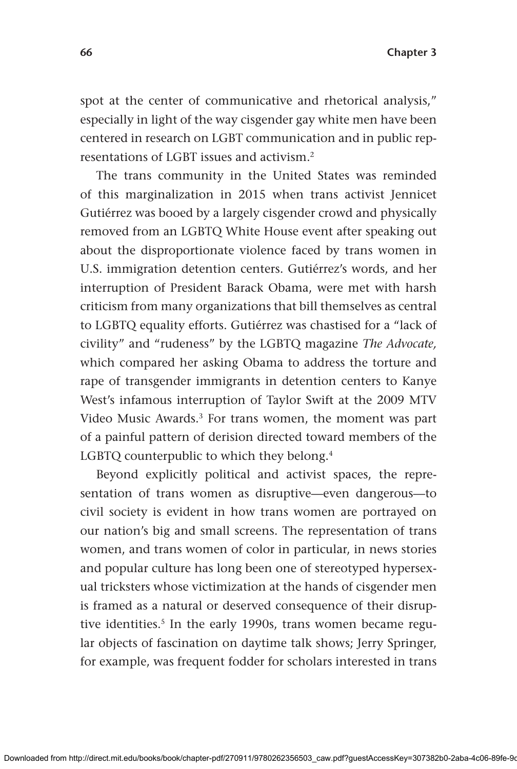spot at the center of communicative and rhetorical analysis," especially in light of the way cisgender gay white men have been centered in research on LGBT communication and in public representations of LGBT issues and activism.2

The trans community in the United States was reminded of this marginalization in 2015 when trans activist Jennicet Gutiérrez was booed by a largely cisgender crowd and physically removed from an LGBTQ White House event after speaking out about the disproportionate violence faced by trans women in U.S. immigration detention centers. Gutiérrez's words, and her interruption of President Barack Obama, were met with harsh criticism from many organizations that bill themselves as central to LGBTQ equality efforts. Gutiérrez was chastised for a "lack of civility" and "rudeness" by the LGBTQ magazine *The Advocate,* which compared her asking Obama to address the torture and rape of transgender immigrants in detention centers to Kanye West's infamous interruption of Taylor Swift at the 2009 MTV Video Music Awards.3 For trans women, the moment was part of a painful pattern of derision directed toward members of the LGBTQ counterpublic to which they belong.<sup>4</sup>

Beyond explicitly political and activist spaces, the representation of trans women as disruptive—even dangerous—to civil society is evident in how trans women are portrayed on our nation's big and small screens. The representation of trans women, and trans women of color in particular, in news stories and popular culture has long been one of stereotyped hypersexual tricksters whose victimization at the hands of cisgender men is framed as a natural or deserved consequence of their disruptive identities.<sup>5</sup> In the early 1990s, trans women became regular objects of fascination on daytime talk shows; Jerry Springer, for example, was frequent fodder for scholars interested in trans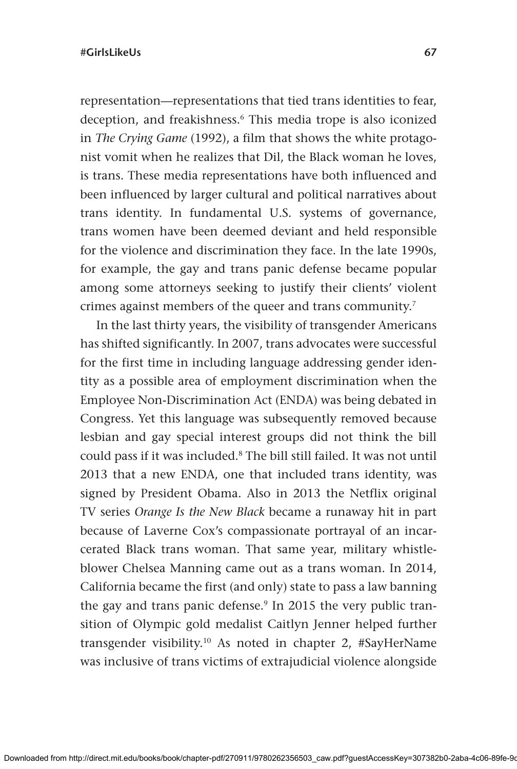representation—representations that tied trans identities to fear, deception, and freakishness.<sup>6</sup> This media trope is also iconized in *The Crying Game* (1992), a film that shows the white protagonist vomit when he realizes that Dil, the Black woman he loves, is trans. These media representations have both influenced and been influenced by larger cultural and political narratives about trans identity. In fundamental U.S. systems of governance, trans women have been deemed deviant and held responsible for the violence and discrimination they face. In the late 1990s, for example, the gay and trans panic defense became popular among some attorneys seeking to justify their clients' violent crimes against members of the queer and trans community.<sup>7</sup>

In the last thirty years, the visibility of transgender Americans has shifted significantly. In 2007, trans advocates were successful for the first time in including language addressing gender identity as a possible area of employment discrimination when the Employee Non-Discrimination Act (ENDA) was being debated in Congress. Yet this language was subsequently removed because lesbian and gay special interest groups did not think the bill could pass if it was included.8 The bill still failed. It was not until 2013 that a new ENDA, one that included trans identity, was signed by President Obama. Also in 2013 the Netflix original TV series *Orange Is the New Black* became a runaway hit in part because of Laverne Cox's compassionate portrayal of an incarcerated Black trans woman. That same year, military whistleblower Chelsea Manning came out as a trans woman. In 2014, California became the first (and only) state to pass a law banning the gay and trans panic defense.<sup>9</sup> In 2015 the very public transition of Olympic gold medalist Caitlyn Jenner helped further transgender visibility.10 As noted in chapter 2, #SayHerName was inclusive of trans victims of extrajudicial violence alongside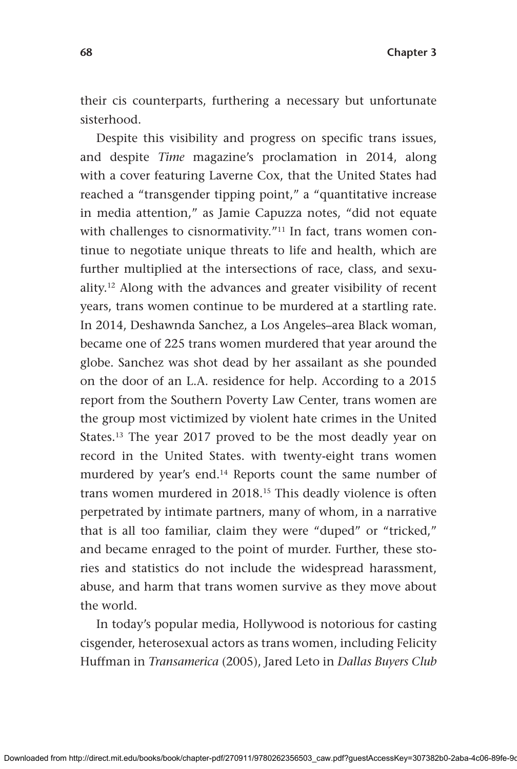their cis counterparts, furthering a necessary but unfortunate sisterhood.

Despite this visibility and progress on specific trans issues, and despite *Time* magazine's proclamation in 2014, along with a cover featuring Laverne Cox, that the United States had reached a "transgender tipping point," a "quantitative increase in media attention," as Jamie Capuzza notes, "did not equate with challenges to cisnormativity."<sup>11</sup> In fact, trans women continue to negotiate unique threats to life and health, which are further multiplied at the intersections of race, class, and sexuality.12 Along with the advances and greater visibility of recent years, trans women continue to be murdered at a startling rate. In 2014, Deshawnda Sanchez, a Los Angeles–area Black woman, became one of 225 trans women murdered that year around the globe. Sanchez was shot dead by her assailant as she pounded on the door of an L.A. residence for help. According to a 2015 report from the Southern Poverty Law Center, trans women are the group most victimized by violent hate crimes in the United States.<sup>13</sup> The year 2017 proved to be the most deadly year on record in the United States. with twenty-eight trans women murdered by year's end.14 Reports count the same number of trans women murdered in 2018.15 This deadly violence is often perpetrated by intimate partners, many of whom, in a narrative that is all too familiar, claim they were "duped" or "tricked," and became enraged to the point of murder. Further, these stories and statistics do not include the widespread harassment, abuse, and harm that trans women survive as they move about the world.

In today's popular media, Hollywood is notorious for casting cisgender, heterosexual actors as trans women, including Felicity Huffman in *Transamerica* (2005), Jared Leto in *Dallas Buyers Club*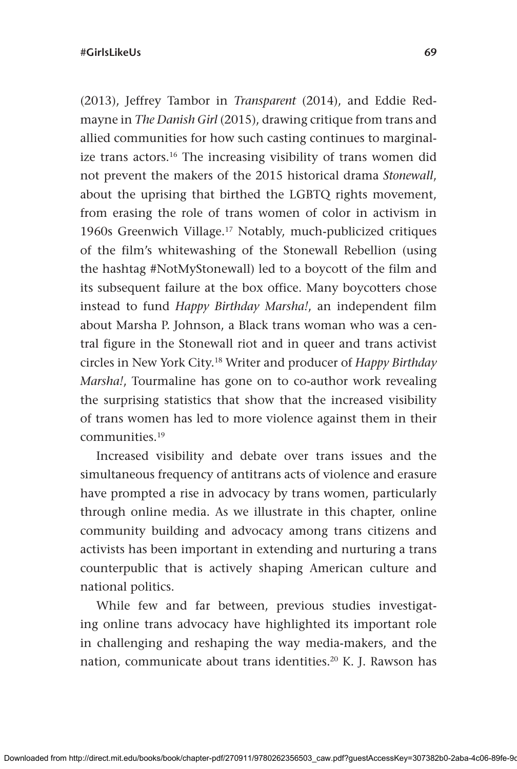(2013), Jeffrey Tambor in *Transparent* (2014), and Eddie Redmayne in *The Danish Girl* (2015), drawing critique from trans and allied communities for how such casting continues to marginalize trans actors.16 The increasing visibility of trans women did not prevent the makers of the 2015 historical drama *Stonewall*, about the uprising that birthed the LGBTQ rights movement, from erasing the role of trans women of color in activism in 1960s Greenwich Village.17 Notably, much-publicized critiques of the film's whitewashing of the Stonewall Rebellion (using the hashtag #NotMyStonewall) led to a boycott of the film and its subsequent failure at the box office. Many boycotters chose instead to fund *Happy Birthday Marsha!*, an independent film about Marsha P. Johnson, a Black trans woman who was a central figure in the Stonewall riot and in queer and trans activist circles in New York City.18 Writer and producer of *Happy Birthday Marsha!*, Tourmaline has gone on to co-author work revealing the surprising statistics that show that the increased visibility of trans women has led to more violence against them in their communities.19

Increased visibility and debate over trans issues and the simultaneous frequency of antitrans acts of violence and erasure have prompted a rise in advocacy by trans women, particularly through online media. As we illustrate in this chapter, online community building and advocacy among trans citizens and activists has been important in extending and nurturing a trans counterpublic that is actively shaping American culture and national politics.

While few and far between, previous studies investigating online trans advocacy have highlighted its important role in challenging and reshaping the way media-makers, and the nation, communicate about trans identities.<sup>20</sup> K. J. Rawson has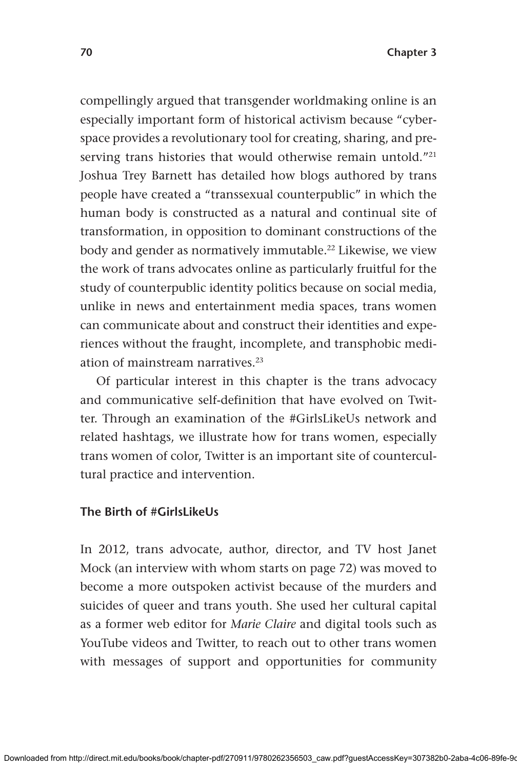compellingly argued that transgender worldmaking online is an especially important form of historical activism because "cyberspace provides a revolutionary tool for creating, sharing, and preserving trans histories that would otherwise remain untold."<sup>21</sup> Joshua Trey Barnett has detailed how blogs authored by trans people have created a "transsexual counterpublic" in which the human body is constructed as a natural and continual site of transformation, in opposition to dominant constructions of the body and gender as normatively immutable.<sup>22</sup> Likewise, we view the work of trans advocates online as particularly fruitful for the study of counterpublic identity politics because on social media, unlike in news and entertainment media spaces, trans women can communicate about and construct their identities and experiences without the fraught, incomplete, and transphobic mediation of mainstream narratives.<sup>23</sup>

Of particular interest in this chapter is the trans advocacy and communicative self-definition that have evolved on Twitter. Through an examination of the #GirlsLikeUs network and related hashtags, we illustrate how for trans women, especially trans women of color, Twitter is an important site of countercultural practice and intervention.

## **The Birth of #GirlsLikeUs**

In 2012, trans advocate, author, director, and TV host Janet Mock (an interview with whom starts on page 72) was moved to become a more outspoken activist because of the murders and suicides of queer and trans youth. She used her cultural capital as a former web editor for *Marie Claire* and digital tools such as YouTube videos and Twitter, to reach out to other trans women with messages of support and opportunities for community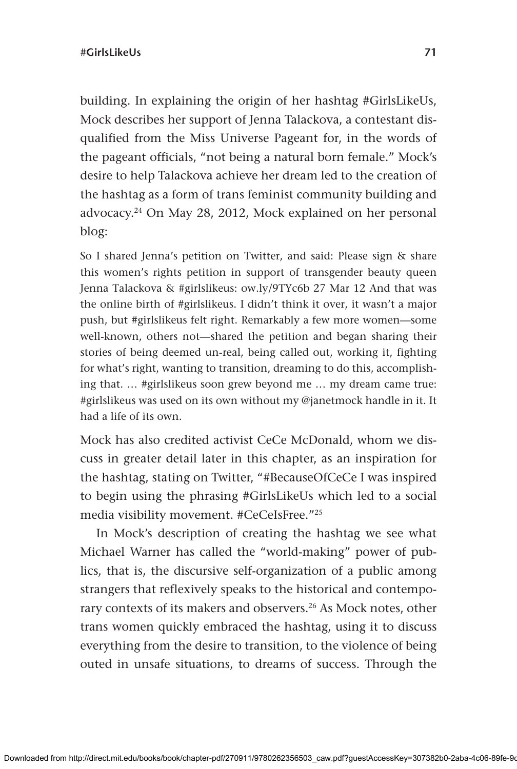#### **#GirlsLikeUs 71**

building. In explaining the origin of her hashtag #GirlsLikeUs, Mock describes her support of Jenna Talackova, a contestant disqualified from the Miss Universe Pageant for, in the words of the pageant officials, "not being a natural born female." Mock's desire to help Talackova achieve her dream led to the creation of the hashtag as a form of trans feminist community building and advocacy.24 On May 28, 2012, Mock explained on her personal blog:

So I shared Jenna's petition on Twitter, and said: Please sign & share this women's rights petition in support of transgender beauty queen Jenna Talackova & #girlslikeus: [ow.ly/9TYc6b](http://ow.ly/9TYc6b) 27 Mar 12 And that was the online birth of #girlslikeus. I didn't think it over, it wasn't a major push, but #girlslikeus felt right. Remarkably a few more women—some well-known, others not—shared the petition and began sharing their stories of being deemed un-real, being called out, working it, fighting for what's right, wanting to transition, dreaming to do this, accomplishing that. … #girlslikeus soon grew beyond me … my dream came true: #girlslikeus was used on its own without my @janetmock handle in it. It had a life of its own.

Mock has also credited activist CeCe McDonald, whom we discuss in greater detail later in this chapter, as an inspiration for the hashtag, stating on Twitter, "#BecauseOfCeCe I was inspired to begin using the phrasing #GirlsLikeUs which led to a social media visibility movement. #CeCeIsFree."25

In Mock's description of creating the hashtag we see what Michael Warner has called the "world-making" power of publics, that is, the discursive self-organization of a public among strangers that reflexively speaks to the historical and contemporary contexts of its makers and observers.<sup>26</sup> As Mock notes, other trans women quickly embraced the hashtag, using it to discuss everything from the desire to transition, to the violence of being outed in unsafe situations, to dreams of success. Through the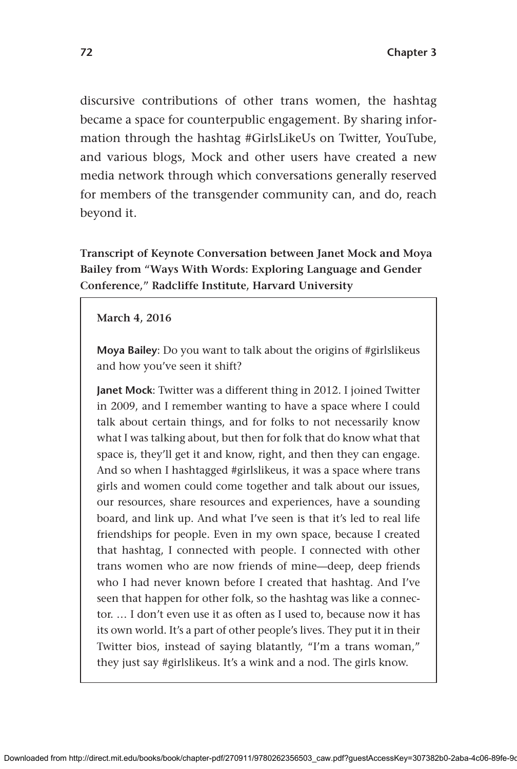discursive contributions of other trans women, the hashtag became a space for counterpublic engagement. By sharing information through the hashtag #GirlsLikeUs on Twitter, YouTube, and various blogs, Mock and other users have created a new media network through which conversations generally reserved for members of the transgender community can, and do, reach beyond it.

**Transcript of Keynote Conversation between Janet Mock and Moya Bailey from "Ways With Words: Exploring Language and Gender Conference," Radcliffe Institute, Harvard University**

#### **March 4, 2016**

**Moya Bailey**: Do you want to talk about the origins of #girlslikeus and how you've seen it shift?

**Janet Mock**: Twitter was a different thing in 2012. I joined Twitter in 2009, and I remember wanting to have a space where I could talk about certain things, and for folks to not necessarily know what I was talking about, but then for folk that do know what that space is, they'll get it and know, right, and then they can engage. And so when I hashtagged #girlslikeus, it was a space where trans girls and women could come together and talk about our issues, our resources, share resources and experiences, have a sounding board, and link up. And what I've seen is that it's led to real life friendships for people. Even in my own space, because I created that hashtag, I connected with people. I connected with other trans women who are now friends of mine—deep, deep friends who I had never known before I created that hashtag. And I've seen that happen for other folk, so the hashtag was like a connector. … I don't even use it as often as I used to, because now it has its own world. It's a part of other people's lives. They put it in their Twitter bios, instead of saying blatantly, "I'm a trans woman," they just say #girlslikeus. It's a wink and a nod. The girls know.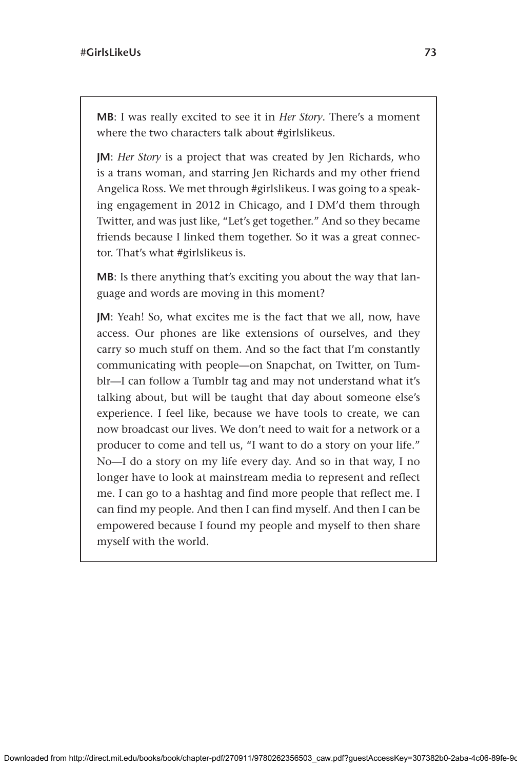**MB**: I was really excited to see it in *Her Story*. There's a moment where the two characters talk about #girlslikeus.

**JM**: *Her Story* is a project that was created by Jen Richards, who is a trans woman, and starring Jen Richards and my other friend Angelica Ross. We met through #girlslikeus. I was going to a speaking engagement in 2012 in Chicago, and I DM'd them through Twitter, and was just like, "Let's get together." And so they became friends because I linked them together. So it was a great connector. That's what #girlslikeus is.

**MB**: Is there anything that's exciting you about the way that language and words are moving in this moment?

**JM**: Yeah! So, what excites me is the fact that we all, now, have access. Our phones are like extensions of ourselves, and they carry so much stuff on them. And so the fact that I'm constantly communicating with people—on Snapchat, on Twitter, on Tumblr—I can follow a Tumblr tag and may not understand what it's talking about, but will be taught that day about someone else's experience. I feel like, because we have tools to create, we can now broadcast our lives. We don't need to wait for a network or a producer to come and tell us, "I want to do a story on your life." No—I do a story on my life every day. And so in that way, I no longer have to look at mainstream media to represent and reflect me. I can go to a hashtag and find more people that reflect me. I can find my people. And then I can find myself. And then I can be empowered because I found my people and myself to then share myself with the world.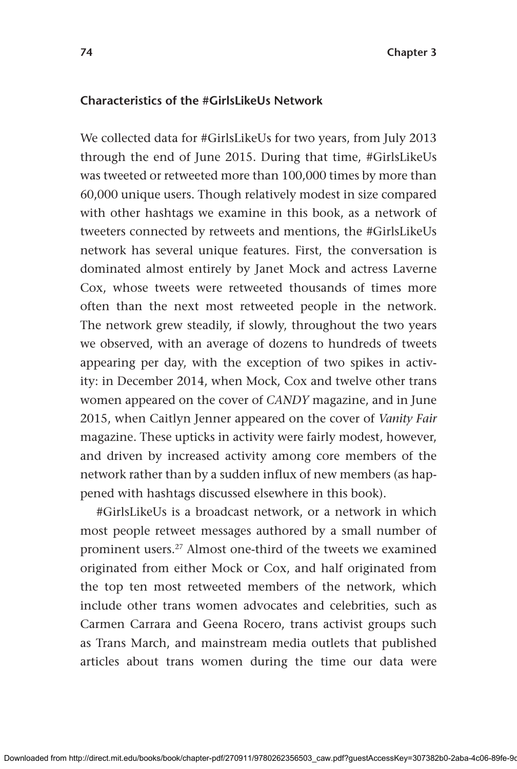#### **Characteristics of the #GirlsLikeUs Network**

We collected data for #GirlsLikeUs for two years, from July 2013 through the end of June 2015. During that time, #GirlsLikeUs was tweeted or retweeted more than 100,000 times by more than 60,000 unique users. Though relatively modest in size compared with other hashtags we examine in this book, as a network of tweeters connected by retweets and mentions, the #GirlsLikeUs network has several unique features. First, the conversation is dominated almost entirely by Janet Mock and actress Laverne Cox, whose tweets were retweeted thousands of times more often than the next most retweeted people in the network. The network grew steadily, if slowly, throughout the two years we observed, with an average of dozens to hundreds of tweets appearing per day, with the exception of two spikes in activity: in December 2014, when Mock, Cox and twelve other trans women appeared on the cover of *CANDY* magazine, and in June 2015, when Caitlyn Jenner appeared on the cover of *Vanity Fair* magazine. These upticks in activity were fairly modest, however, and driven by increased activity among core members of the network rather than by a sudden influx of new members (as happened with hashtags discussed elsewhere in this book).

#GirlsLikeUs is a broadcast network, or a network in which most people retweet messages authored by a small number of prominent users.27 Almost one-third of the tweets we examined originated from either Mock or Cox, and half originated from the top ten most retweeted members of the network, which include other trans women advocates and celebrities, such as Carmen Carrara and Geena Rocero, trans activist groups such as Trans March, and mainstream media outlets that published articles about trans women during the time our data were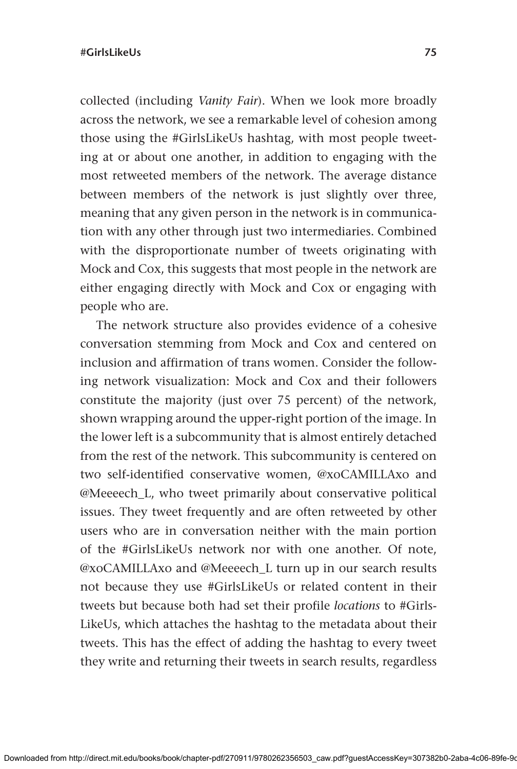collected (including *Vanity Fair*). When we look more broadly across the network, we see a remarkable level of cohesion among those using the #GirlsLikeUs hashtag, with most people tweeting at or about one another, in addition to engaging with the most retweeted members of the network. The average distance between members of the network is just slightly over three, meaning that any given person in the network is in communication with any other through just two intermediaries. Combined with the disproportionate number of tweets originating with Mock and Cox, this suggests that most people in the network are either engaging directly with Mock and Cox or engaging with people who are.

The network structure also provides evidence of a cohesive conversation stemming from Mock and Cox and centered on inclusion and affirmation of trans women. Consider the following network visualization: Mock and Cox and their followers constitute the majority (just over 75 percent) of the network, shown wrapping around the upper-right portion of the image. In the lower left is a subcommunity that is almost entirely detached from the rest of the network. This subcommunity is centered on two self-identified conservative women, @xoCAMILLAxo and @Meeeech\_L, who tweet primarily about conservative political issues. They tweet frequently and are often retweeted by other users who are in conversation neither with the main portion of the #GirlsLikeUs network nor with one another. Of note, @xoCAMILLAxo and @Meeeech\_L turn up in our search results not because they use #GirlsLikeUs or related content in their tweets but because both had set their profile *locations* to #Girls-LikeUs, which attaches the hashtag to the metadata about their tweets. This has the effect of adding the hashtag to every tweet they write and returning their tweets in search results, regardless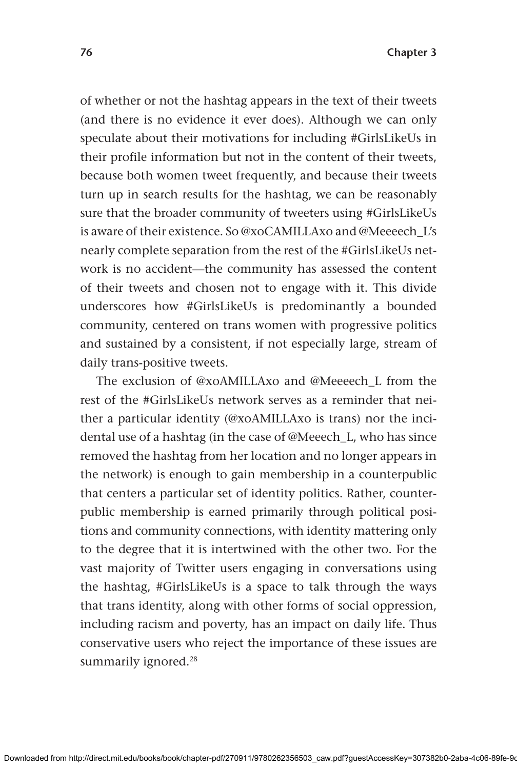of whether or not the hashtag appears in the text of their tweets (and there is no evidence it ever does). Although we can only speculate about their motivations for including #GirlsLikeUs in their profile information but not in the content of their tweets, because both women tweet frequently, and because their tweets turn up in search results for the hashtag, we can be reasonably sure that the broader community of tweeters using #GirlsLikeUs is aware of their existence. So @xoCAMILLAxo and @Meeeech\_L's nearly complete separation from the rest of the #GirlsLikeUs network is no accident—the community has assessed the content of their tweets and chosen not to engage with it. This divide underscores how #GirlsLikeUs is predominantly a bounded community, centered on trans women with progressive politics and sustained by a consistent, if not especially large, stream of daily trans-positive tweets.

The exclusion of @xoAMILLAxo and @Meeeech\_L from the rest of the #GirlsLikeUs network serves as a reminder that neither a particular identity (@xoAMILLAxo is trans) nor the incidental use of a hashtag (in the case of @Meeech\_L, who has since removed the hashtag from her location and no longer appears in the network) is enough to gain membership in a counterpublic that centers a particular set of identity politics. Rather, counterpublic membership is earned primarily through political positions and community connections, with identity mattering only to the degree that it is intertwined with the other two. For the vast majority of Twitter users engaging in conversations using the hashtag, #GirlsLikeUs is a space to talk through the ways that trans identity, along with other forms of social oppression, including racism and poverty, has an impact on daily life. Thus conservative users who reject the importance of these issues are summarily ignored.<sup>28</sup>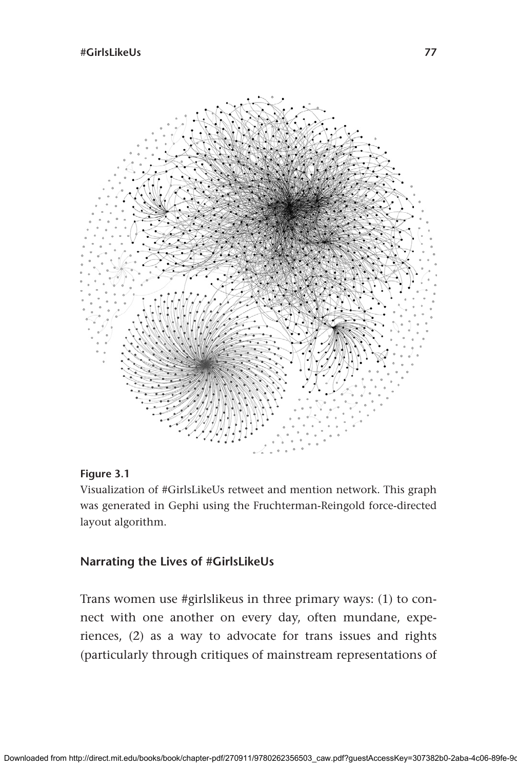

#### **Figure 3.1**

Visualization of #GirlsLikeUs retweet and mention network. This graph was generated in Gephi using the Fruchterman-Reingold force-directed layout algorithm.

## **Narrating the Lives of #GirlsLikeUs**

Trans women use #girlslikeus in three primary ways: (1) to connect with one another on every day, often mundane, experiences, (2) as a way to advocate for trans issues and rights (particularly through critiques of mainstream representations of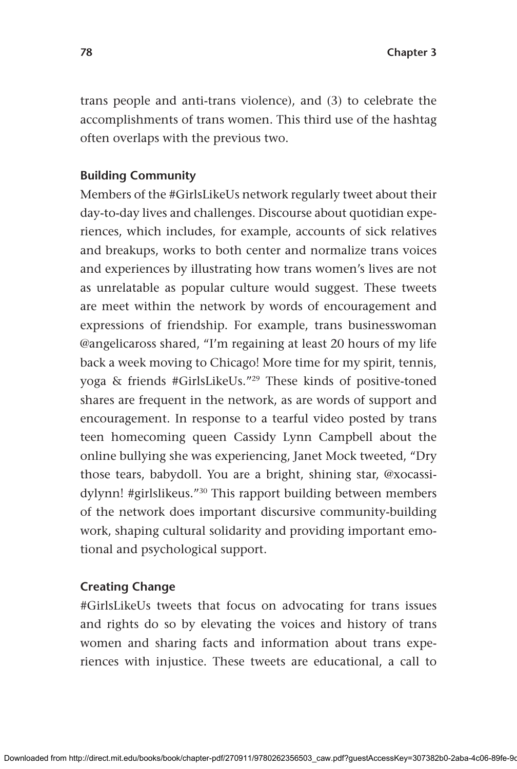trans people and anti-trans violence), and (3) to celebrate the accomplishments of trans women. This third use of the hashtag often overlaps with the previous two.

#### **Building Community**

Members of the #GirlsLikeUs network regularly tweet about their day-to-day lives and challenges. Discourse about quotidian experiences, which includes, for example, accounts of sick relatives and breakups, works to both center and normalize trans voices and experiences by illustrating how trans women's lives are not as unrelatable as popular culture would suggest. These tweets are meet within the network by words of encouragement and expressions of friendship. For example, trans businesswoman @angelicaross shared, "I'm regaining at least 20 hours of my life back a week moving to Chicago! More time for my spirit, tennis, yoga & friends #GirlsLikeUs."29 These kinds of positive-toned shares are frequent in the network, as are words of support and encouragement. In response to a tearful video posted by trans teen homecoming queen Cassidy Lynn Campbell about the online bullying she was experiencing, Janet Mock tweeted, "Dry those tears, babydoll. You are a bright, shining star, @xocassidylynn! #girlslikeus."30 This rapport building between members of the network does important discursive community-building work, shaping cultural solidarity and providing important emotional and psychological support.

#### **Creating Change**

#GirlsLikeUs tweets that focus on advocating for trans issues and rights do so by elevating the voices and history of trans women and sharing facts and information about trans experiences with injustice. These tweets are educational, a call to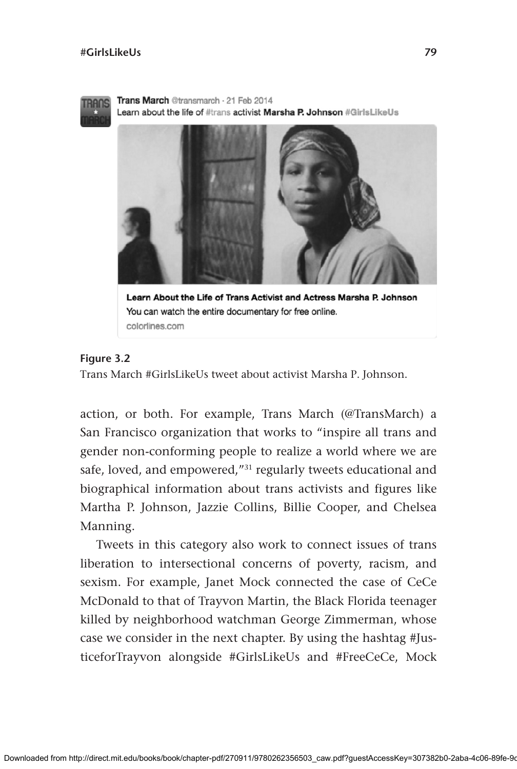

You can watch the entire documentary for free online. colorlines.com

#### **Figure 3.2**

Trans March #GirlsLikeUs tweet about activist Marsha P. Johnson.

action, or both. For example, Trans March (@TransMarch) a San Francisco organization that works to "inspire all trans and gender non-conforming people to realize a world where we are safe, loved, and empowered,"31 regularly tweets educational and biographical information about trans activists and figures like Martha P. Johnson, Jazzie Collins, Billie Cooper, and Chelsea Manning.

Tweets in this category also work to connect issues of trans liberation to intersectional concerns of poverty, racism, and sexism. For example, Janet Mock connected the case of CeCe McDonald to that of Trayvon Martin, the Black Florida teenager killed by neighborhood watchman George Zimmerman, whose case we consider in the next chapter. By using the hashtag #JusticeforTrayvon alongside #GirlsLikeUs and #FreeCeCe, Mock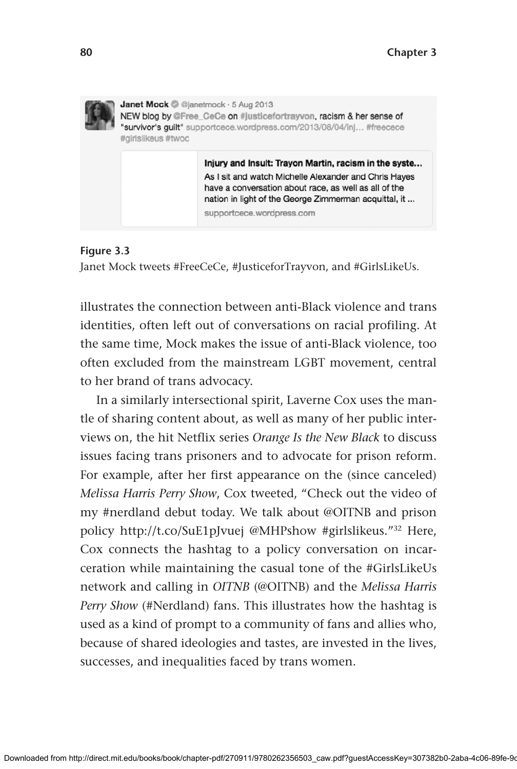|  | <b>Janet Mock @ @janetmock <math>\cdot</math> 5 Aug 2013</b><br>NEW blog by @Free_CeCe on #justicefortrayvon, racism & her sense of<br>"survivor's guilt" supportcece.wordpress.com/2013/08/04/inj #freecece<br>#girlslikeus #twoc |                                                                                                                                                                                                                                                               |
|--|------------------------------------------------------------------------------------------------------------------------------------------------------------------------------------------------------------------------------------|---------------------------------------------------------------------------------------------------------------------------------------------------------------------------------------------------------------------------------------------------------------|
|  |                                                                                                                                                                                                                                    | Injury and Insult: Trayon Martin, racism in the syste<br>As I sit and watch Michelle Alexander and Chris Hayes<br>have a conversation about race, as well as all of the<br>nation in light of the George Zimmerman acquittal, it<br>supportcece.wordpress.com |

#### **Figure 3.3**

Janet Mock tweets #FreeCeCe, #JusticeforTrayvon, and #GirlsLikeUs.

illustrates the connection between anti-Black violence and trans identities, often left out of conversations on racial profiling. At the same time, Mock makes the issue of anti-Black violence, too often excluded from the mainstream LGBT movement, central to her brand of trans advocacy.

In a similarly intersectional spirit, Laverne Cox uses the mantle of sharing content about, as well as many of her public interviews on, the hit Netflix series *Orange Is the New Black* to discuss issues facing trans prisoners and to advocate for prison reform. For example, after her first appearance on the (since canceled) *Melissa Harris Perry Show*, Cox tweeted, "Check out the video of my #nerdland debut today. We talk about @OITNB and prison policy <http://t.co/SuE1pJvuej>@MHPshow #girlslikeus."32 Here, Cox connects the hashtag to a policy conversation on incarceration while maintaining the casual tone of the #GirlsLikeUs network and calling in *OITNB* (@OITNB) and the *Melissa Harris Perry Show* (#Nerdland) fans. This illustrates how the hashtag is used as a kind of prompt to a community of fans and allies who, because of shared ideologies and tastes, are invested in the lives, successes, and inequalities faced by trans women.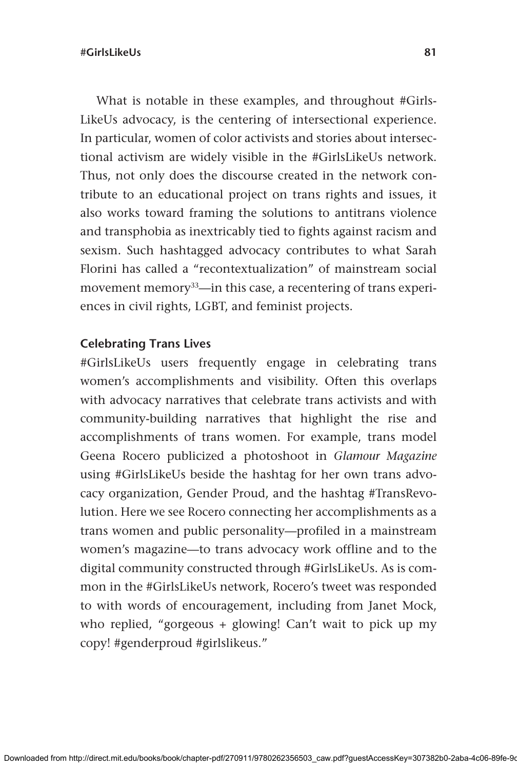#### **#GirlsLikeUs 81**

What is notable in these examples, and throughout #Girls-LikeUs advocacy, is the centering of intersectional experience. In particular, women of color activists and stories about intersectional activism are widely visible in the #GirlsLikeUs network. Thus, not only does the discourse created in the network contribute to an educational project on trans rights and issues, it also works toward framing the solutions to antitrans violence and transphobia as inextricably tied to fights against racism and sexism. Such hashtagged advocacy contributes to what Sarah Florini has called a "recontextualization" of mainstream social movement memory<sup>33</sup>—in this case, a recentering of trans experiences in civil rights, LGBT, and feminist projects.

## **Celebrating Trans Lives**

#GirlsLikeUs users frequently engage in celebrating trans women's accomplishments and visibility. Often this overlaps with advocacy narratives that celebrate trans activists and with community-building narratives that highlight the rise and accomplishments of trans women. For example, trans model Geena Rocero publicized a photoshoot in *Glamour Magazine* using #GirlsLikeUs beside the hashtag for her own trans advocacy organization, Gender Proud, and the hashtag #TransRevolution. Here we see Rocero connecting her accomplishments as a trans women and public personality—profiled in a mainstream women's magazine—to trans advocacy work offline and to the digital community constructed through #GirlsLikeUs. As is common in the #GirlsLikeUs network, Rocero's tweet was responded to with words of encouragement, including from Janet Mock, who replied, "gorgeous + glowing! Can't wait to pick up my copy! #genderproud #girlslikeus."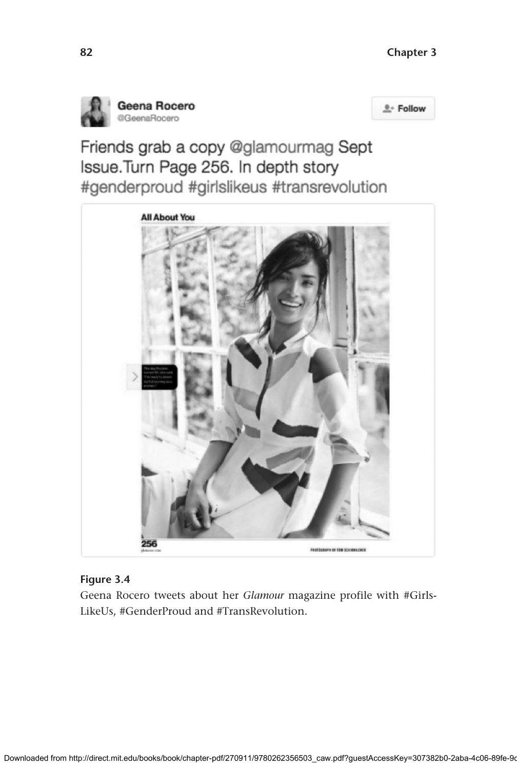

*<u>®</u>* Follow

Friends grab a copy @glamourmag Sept Issue.Turn Page 256. In depth story #genderproud #girlslikeus #transrevolution



#### **Figure 3.4**

Geena Rocero tweets about her *Glamour* magazine profile with #Girls-LikeUs, #GenderProud and #TransRevolution.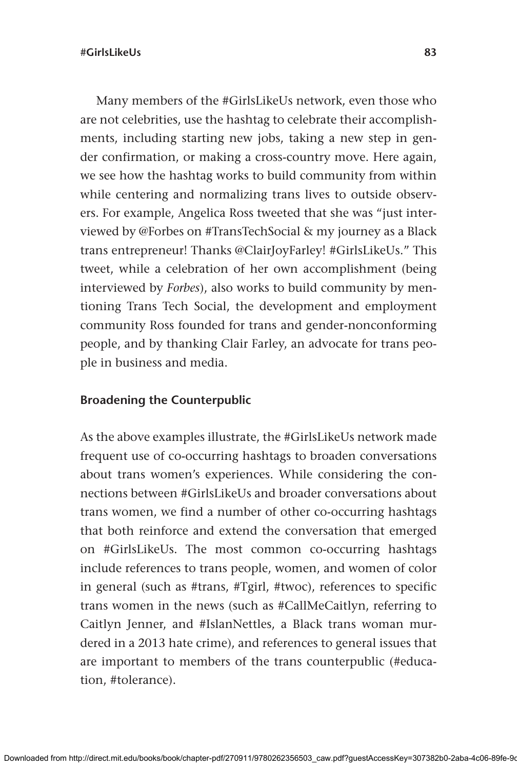Many members of the #GirlsLikeUs network, even those who are not celebrities, use the hashtag to celebrate their accomplishments, including starting new jobs, taking a new step in gender confirmation, or making a cross-country move. Here again, we see how the hashtag works to build community from within while centering and normalizing trans lives to outside observers. For example, Angelica Ross tweeted that she was "just interviewed by @Forbes on #TransTechSocial & my journey as a Black trans entrepreneur! Thanks @ClairJoyFarley! #GirlsLikeUs." This tweet, while a celebration of her own accomplishment (being interviewed by *Forbes*), also works to build community by mentioning Trans Tech Social, the development and employment community Ross founded for trans and gender-nonconforming people, and by thanking Clair Farley, an advocate for trans people in business and media.

#### **Broadening the Counterpublic**

As the above examples illustrate, the #GirlsLikeUs network made frequent use of co-occurring hashtags to broaden conversations about trans women's experiences. While considering the connections between #GirlsLikeUs and broader conversations about trans women, we find a number of other co-occurring hashtags that both reinforce and extend the conversation that emerged on #GirlsLikeUs. The most common co-occurring hashtags include references to trans people, women, and women of color in general (such as #trans, #Tgirl, #twoc), references to specific trans women in the news (such as #CallMeCaitlyn, referring to Caitlyn Jenner, and #IslanNettles, a Black trans woman murdered in a 2013 hate crime), and references to general issues that are important to members of the trans counterpublic (#education, #tolerance).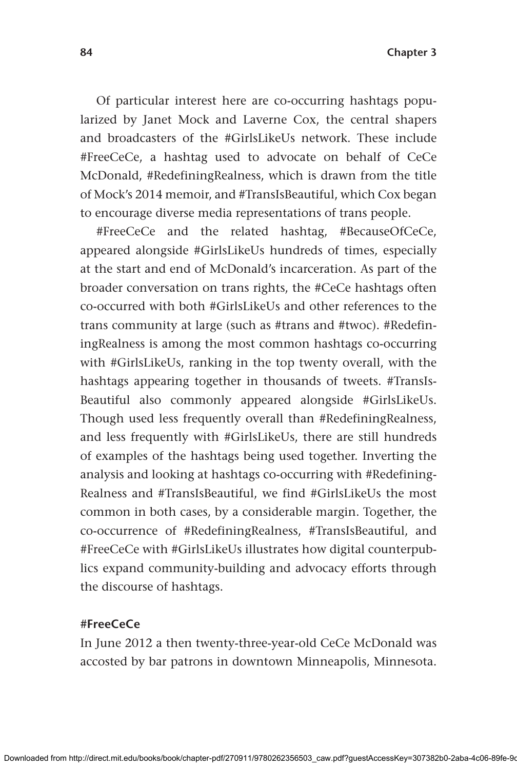Of particular interest here are co-occurring hashtags popularized by Janet Mock and Laverne Cox, the central shapers and broadcasters of the #GirlsLikeUs network. These include #FreeCeCe, a hashtag used to advocate on behalf of CeCe McDonald, #RedefiningRealness, which is drawn from the title of Mock's 2014 memoir, and #TransIsBeautiful, which Cox began to encourage diverse media representations of trans people.

#FreeCeCe and the related hashtag, #BecauseOfCeCe, appeared alongside #GirlsLikeUs hundreds of times, especially at the start and end of McDonald's incarceration. As part of the broader conversation on trans rights, the #CeCe hashtags often co-occurred with both #GirlsLikeUs and other references to the trans community at large (such as #trans and #twoc). #RedefiningRealness is among the most common hashtags co-occurring with #GirlsLikeUs, ranking in the top twenty overall, with the hashtags appearing together in thousands of tweets. #TransIs-Beautiful also commonly appeared alongside #GirlsLikeUs. Though used less frequently overall than #RedefiningRealness, and less frequently with #GirlsLikeUs, there are still hundreds of examples of the hashtags being used together. Inverting the analysis and looking at hashtags co-occurring with #Redefining-Realness and #TransIsBeautiful, we find #GirlsLikeUs the most common in both cases, by a considerable margin. Together, the co-occurrence of #RedefiningRealness, #TransIsBeautiful, and #FreeCeCe with #GirlsLikeUs illustrates how digital counterpublics expand community-building and advocacy efforts through the discourse of hashtags.

## **#FreeCeCe**

In June 2012 a then twenty-three-year-old CeCe McDonald was accosted by bar patrons in downtown Minneapolis, Minnesota.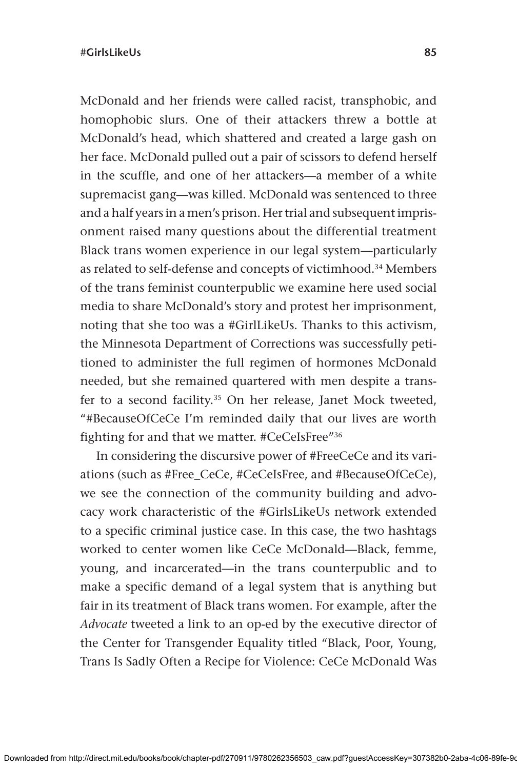#### **#GirlsLikeUs 85**

McDonald and her friends were called racist, transphobic, and homophobic slurs. One of their attackers threw a bottle at McDonald's head, which shattered and created a large gash on her face. McDonald pulled out a pair of scissors to defend herself in the scuffle, and one of her attackers—a member of a white supremacist gang—was killed. McDonald was sentenced to three and a half years in a men's prison. Her trial and subsequent imprisonment raised many questions about the differential treatment Black trans women experience in our legal system—particularly as related to self-defense and concepts of victimhood.<sup>34</sup> Members of the trans feminist counterpublic we examine here used social media to share McDonald's story and protest her imprisonment, noting that she too was a #GirlLikeUs. Thanks to this activism, the Minnesota Department of Corrections was successfully petitioned to administer the full regimen of hormones McDonald needed, but she remained quartered with men despite a transfer to a second facility.<sup>35</sup> On her release, Janet Mock tweeted, "#BecauseOfCeCe I'm reminded daily that our lives are worth fighting for and that we matter. #CeCeIsFree"36

In considering the discursive power of #FreeCeCe and its variations (such as #Free\_CeCe, #CeCeIsFree, and #BecauseOfCeCe), we see the connection of the community building and advocacy work characteristic of the #GirlsLikeUs network extended to a specific criminal justice case. In this case, the two hashtags worked to center women like CeCe McDonald—Black, femme, young, and incarcerated—in the trans counterpublic and to make a specific demand of a legal system that is anything but fair in its treatment of Black trans women. For example, after the *Advocate* tweeted a link to an op-ed by the executive director of the Center for Transgender Equality titled "Black, Poor, Young, Trans Is Sadly Often a Recipe for Violence: CeCe McDonald Was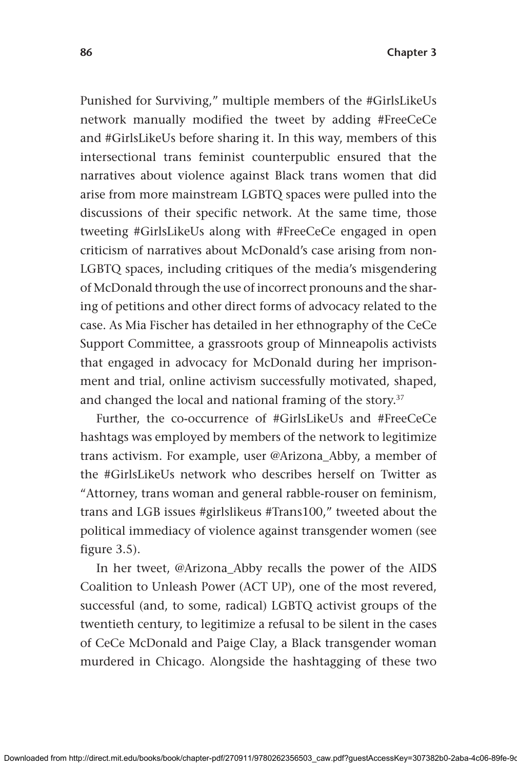Punished for Surviving," multiple members of the #GirlsLikeUs network manually modified the tweet by adding #FreeCeCe and #GirlsLikeUs before sharing it. In this way, members of this intersectional trans feminist counterpublic ensured that the narratives about violence against Black trans women that did arise from more mainstream LGBTQ spaces were pulled into the discussions of their specific network. At the same time, those tweeting #GirlsLikeUs along with #FreeCeCe engaged in open criticism of narratives about McDonald's case arising from non-LGBTQ spaces, including critiques of the media's misgendering of McDonald through the use of incorrect pronouns and the sharing of petitions and other direct forms of advocacy related to the case. As Mia Fischer has detailed in her ethnography of the CeCe Support Committee, a grassroots group of Minneapolis activists that engaged in advocacy for McDonald during her imprisonment and trial, online activism successfully motivated, shaped, and changed the local and national framing of the story.<sup>37</sup>

Further, the co-occurrence of #GirlsLikeUs and #FreeCeCe hashtags was employed by members of the network to legitimize trans activism. For example, user @Arizona\_Abby, a member of the #GirlsLikeUs network who describes herself on Twitter as "Attorney, trans woman and general rabble-rouser on feminism, trans and LGB issues #girlslikeus #Trans100," tweeted about the political immediacy of violence against transgender women (see figure 3.5).

In her tweet, @Arizona\_Abby recalls the power of the AIDS Coalition to Unleash Power (ACT UP), one of the most revered, successful (and, to some, radical) LGBTQ activist groups of the twentieth century, to legitimize a refusal to be silent in the cases of CeCe McDonald and Paige Clay, a Black transgender woman murdered in Chicago. Alongside the hashtagging of these two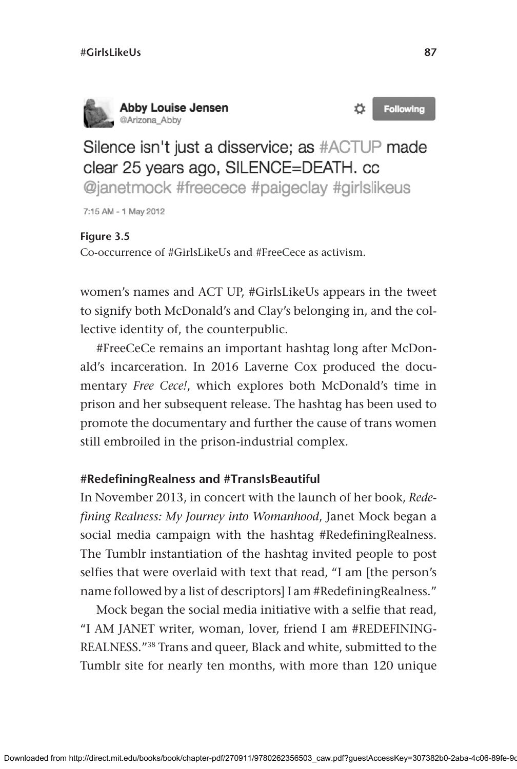

**Following** 

# Silence isn't just a disservice: as #ACTUP made clear 25 years ago, SILENCE=DEATH. cc @janetmock #freecece #paigeclay #girlslikeus 7:15 AM - 1 May 2012

#### **Figure 3.5**

Co-occurrence of #GirlsLikeUs and #FreeCece as activism.

women's names and ACT UP, #GirlsLikeUs appears in the tweet to signify both McDonald's and Clay's belonging in, and the collective identity of, the counterpublic.

#FreeCeCe remains an important hashtag long after McDonald's incarceration. In 2016 Laverne Cox produced the documentary *Free Cece!*, which explores both McDonald's time in prison and her subsequent release. The hashtag has been used to promote the documentary and further the cause of trans women still embroiled in the prison-industrial complex.

## **#RedefiningRealness and #TransIsBeautiful**

In November 2013, in concert with the launch of her book, *Redefining Realness: My Journey into Womanhood*, Janet Mock began a social media campaign with the hashtag #RedefiningRealness. The Tumblr instantiation of the hashtag invited people to post selfies that were overlaid with text that read, "I am [the person's name followed by a list of descriptors] I am #RedefiningRealness."

Mock began the social media initiative with a selfie that read, "I AM JANET writer, woman, lover, friend I am #REDEFINING-REALNESS."38 Trans and queer, Black and white, submitted to the Tumblr site for nearly ten months, with more than 120 unique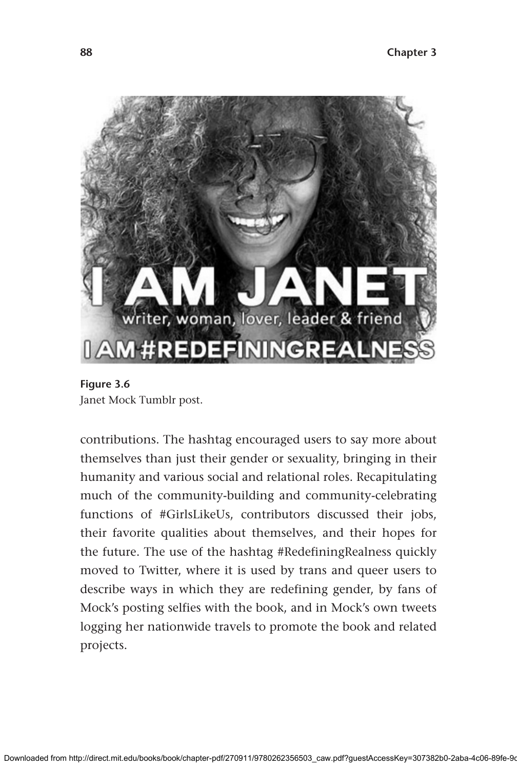

**Figure 3.6** Janet Mock Tumblr post.

contributions. The hashtag encouraged users to say more about themselves than just their gender or sexuality, bringing in their humanity and various social and relational roles. Recapitulating much of the community-building and community-celebrating functions of #GirlsLikeUs, contributors discussed their jobs, their favorite qualities about themselves, and their hopes for the future. The use of the hashtag #RedefiningRealness quickly moved to Twitter, where it is used by trans and queer users to describe ways in which they are redefining gender, by fans of Mock's posting selfies with the book, and in Mock's own tweets logging her nationwide travels to promote the book and related projects.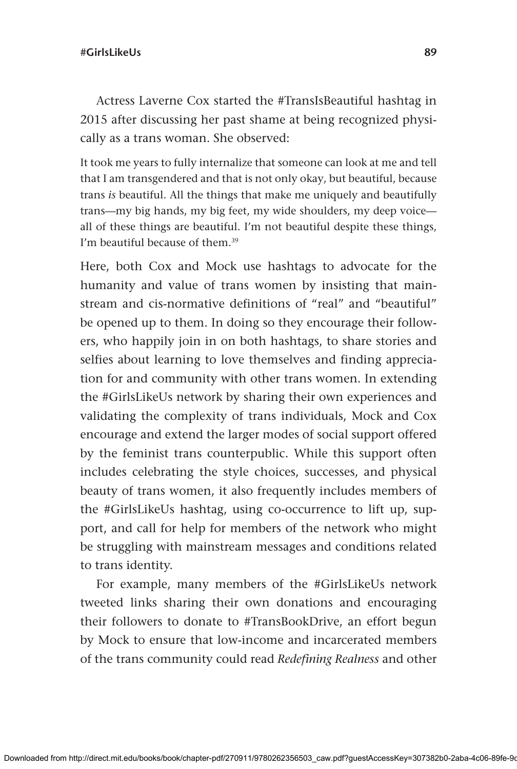Actress Laverne Cox started the #TransIsBeautiful hashtag in 2015 after discussing her past shame at being recognized physically as a trans woman. She observed:

It took me years to fully internalize that someone can look at me and tell that I am transgendered and that is not only okay, but beautiful, because trans *is* beautiful. All the things that make me uniquely and beautifully trans—my big hands, my big feet, my wide shoulders, my deep voice all of these things are beautiful. I'm not beautiful despite these things, I'm beautiful because of them.39

Here, both Cox and Mock use hashtags to advocate for the humanity and value of trans women by insisting that mainstream and cis-normative definitions of "real" and "beautiful" be opened up to them. In doing so they encourage their followers, who happily join in on both hashtags, to share stories and selfies about learning to love themselves and finding appreciation for and community with other trans women. In extending the #GirlsLikeUs network by sharing their own experiences and validating the complexity of trans individuals, Mock and Cox encourage and extend the larger modes of social support offered by the feminist trans counterpublic. While this support often includes celebrating the style choices, successes, and physical beauty of trans women, it also frequently includes members of the #GirlsLikeUs hashtag, using co-occurrence to lift up, support, and call for help for members of the network who might be struggling with mainstream messages and conditions related to trans identity.

For example, many members of the #GirlsLikeUs network tweeted links sharing their own donations and encouraging their followers to donate to #TransBookDrive, an effort begun by Mock to ensure that low-income and incarcerated members of the trans community could read *Redefining Realness* and other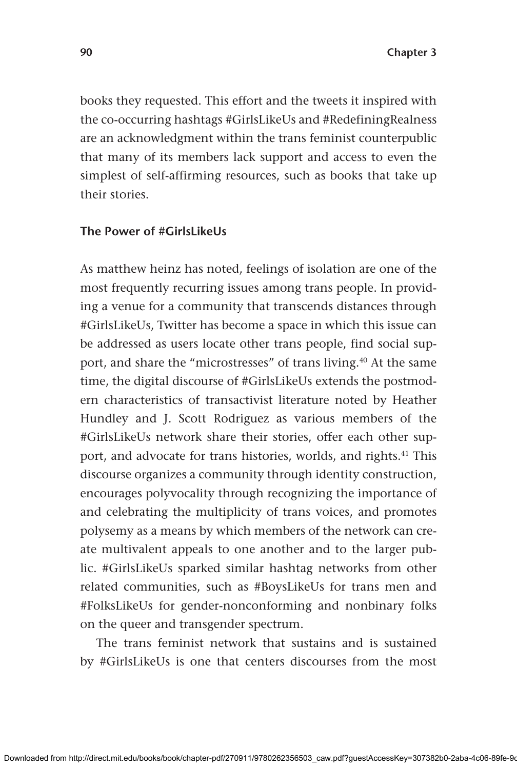books they requested. This effort and the tweets it inspired with the co-occurring hashtags #GirlsLikeUs and #RedefiningRealness are an acknowledgment within the trans feminist counterpublic that many of its members lack support and access to even the simplest of self-affirming resources, such as books that take up their stories.

## **The Power of #GirlsLikeUs**

As matthew heinz has noted, feelings of isolation are one of the most frequently recurring issues among trans people. In providing a venue for a community that transcends distances through #GirlsLikeUs, Twitter has become a space in which this issue can be addressed as users locate other trans people, find social support, and share the "microstresses" of trans living.<sup>40</sup> At the same time, the digital discourse of #GirlsLikeUs extends the postmodern characteristics of transactivist literature noted by Heather Hundley and J. Scott Rodriguez as various members of the #GirlsLikeUs network share their stories, offer each other support, and advocate for trans histories, worlds, and rights.<sup>41</sup> This discourse organizes a community through identity construction, encourages polyvocality through recognizing the importance of and celebrating the multiplicity of trans voices, and promotes polysemy as a means by which members of the network can create multivalent appeals to one another and to the larger public. #GirlsLikeUs sparked similar hashtag networks from other related communities, such as #BoysLikeUs for trans men and #FolksLikeUs for gender-nonconforming and nonbinary folks on the queer and transgender spectrum.

The trans feminist network that sustains and is sustained by #GirlsLikeUs is one that centers discourses from the most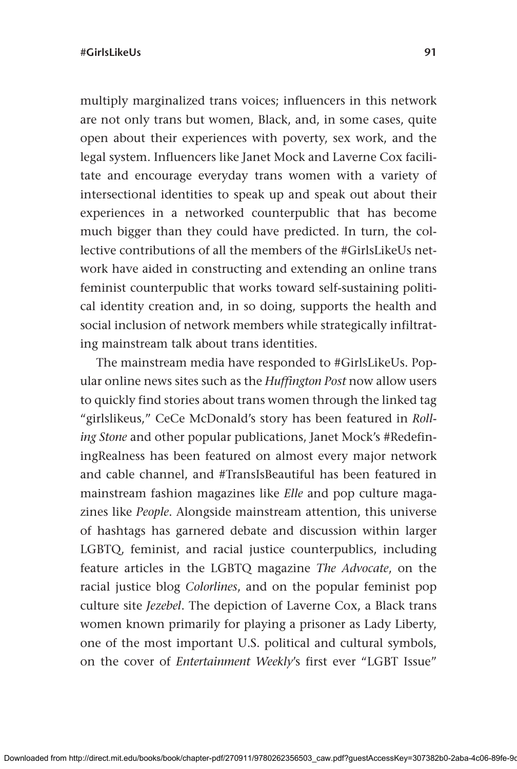multiply marginalized trans voices; influencers in this network are not only trans but women, Black, and, in some cases, quite open about their experiences with poverty, sex work, and the legal system. Influencers like Janet Mock and Laverne Cox facilitate and encourage everyday trans women with a variety of intersectional identities to speak up and speak out about their experiences in a networked counterpublic that has become much bigger than they could have predicted. In turn, the collective contributions of all the members of the #GirlsLikeUs network have aided in constructing and extending an online trans feminist counterpublic that works toward self-sustaining political identity creation and, in so doing, supports the health and social inclusion of network members while strategically infiltrating mainstream talk about trans identities.

The mainstream media have responded to #GirlsLikeUs. Popular online news sites such as the *Huffington Post* now allow users to quickly find stories about trans women through the linked tag "girlslikeus," CeCe McDonald's story has been featured in *Rolling Stone* and other popular publications, Janet Mock's #RedefiningRealness has been featured on almost every major network and cable channel, and #TransIsBeautiful has been featured in mainstream fashion magazines like *Elle* and pop culture magazines like *People*. Alongside mainstream attention, this universe of hashtags has garnered debate and discussion within larger LGBTQ, feminist, and racial justice counterpublics, including feature articles in the LGBTQ magazine *The Advocate*, on the racial justice blog *Colorlines*, and on the popular feminist pop culture site *Jezebel*. The depiction of Laverne Cox, a Black trans women known primarily for playing a prisoner as Lady Liberty, one of the most important U.S. political and cultural symbols, on the cover of *Entertainment Weekly*'s first ever "LGBT Issue"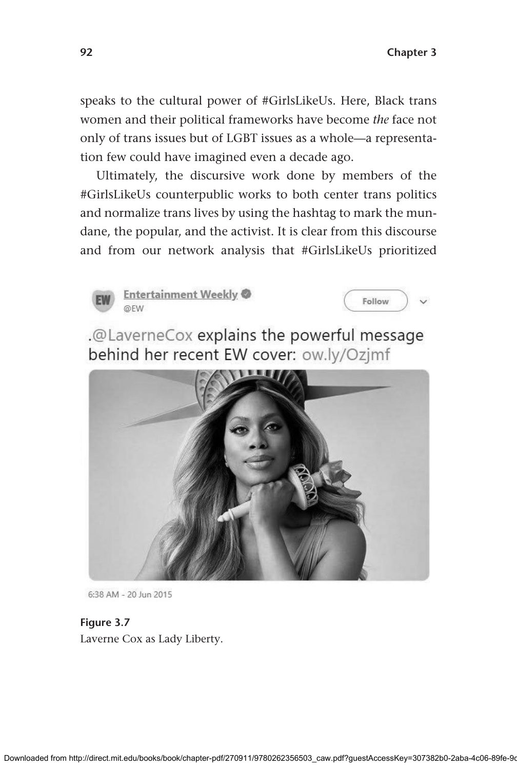speaks to the cultural power of #GirlsLikeUs. Here, Black trans women and their political frameworks have become *the* face not only of trans issues but of LGBT issues as a whole—a representation few could have imagined even a decade ago.

Ultimately, the discursive work done by members of the #GirlsLikeUs counterpublic works to both center trans politics and normalize trans lives by using the hashtag to mark the mundane, the popular, and the activist. It is clear from this discourse and from our network analysis that #GirlsLikeUs prioritized



**Entertainment Weekly @** @EW



.@LaverneCox explains the powerful message behind her recent EW cover: ow.ly/Ozjmf



6:38 AM - 20 Jun 2015

#### **Figure 3.7**

Laverne Cox as Lady Liberty.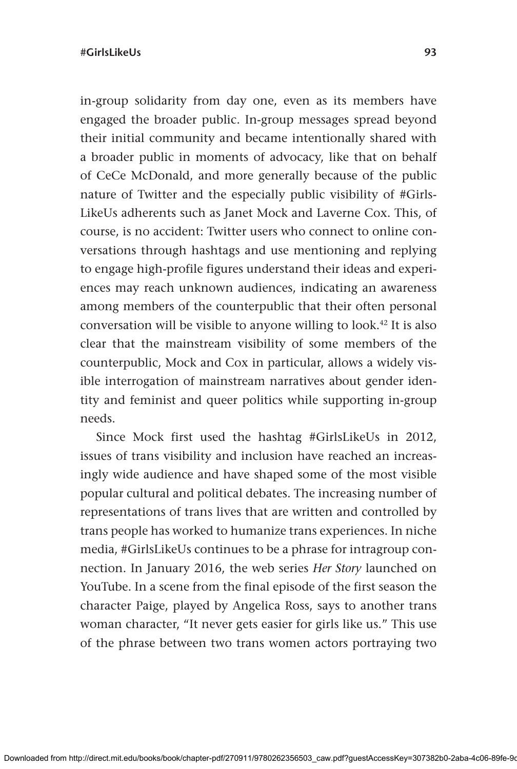#### **#GirlsLikeUs 93**

in-group solidarity from day one, even as its members have engaged the broader public. In-group messages spread beyond their initial community and became intentionally shared with a broader public in moments of advocacy, like that on behalf of CeCe McDonald, and more generally because of the public nature of Twitter and the especially public visibility of #Girls-LikeUs adherents such as Janet Mock and Laverne Cox. This, of course, is no accident: Twitter users who connect to online conversations through hashtags and use mentioning and replying to engage high-profile figures understand their ideas and experiences may reach unknown audiences, indicating an awareness among members of the counterpublic that their often personal conversation will be visible to anyone willing to look.42 It is also clear that the mainstream visibility of some members of the counterpublic, Mock and Cox in particular, allows a widely visible interrogation of mainstream narratives about gender identity and feminist and queer politics while supporting in-group needs.

Since Mock first used the hashtag #GirlsLikeUs in 2012, issues of trans visibility and inclusion have reached an increasingly wide audience and have shaped some of the most visible popular cultural and political debates. The increasing number of representations of trans lives that are written and controlled by trans people has worked to humanize trans experiences. In niche media, #GirlsLikeUs continues to be a phrase for intragroup connection. In January 2016, the web series *Her Story* launched on YouTube. In a scene from the final episode of the first season the character Paige, played by Angelica Ross, says to another trans woman character, "It never gets easier for girls like us." This use of the phrase between two trans women actors portraying two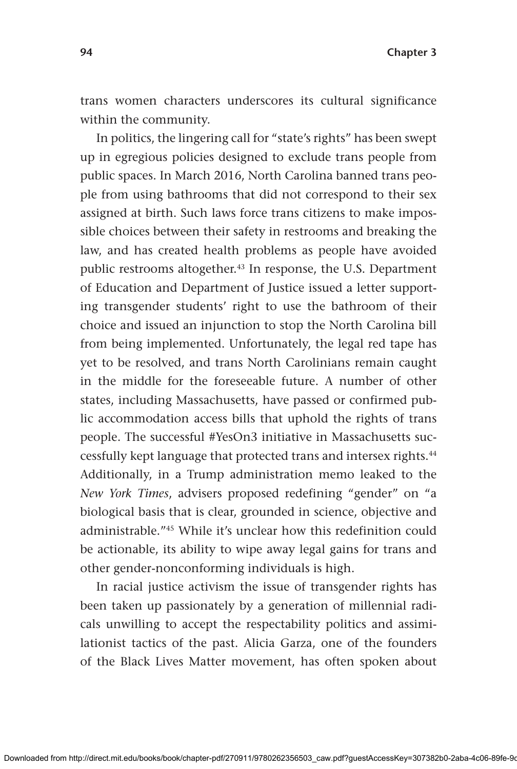trans women characters underscores its cultural significance within the community.

In politics, the lingering call for "state's rights" has been swept up in egregious policies designed to exclude trans people from public spaces. In March 2016, North Carolina banned trans people from using bathrooms that did not correspond to their sex assigned at birth. Such laws force trans citizens to make impossible choices between their safety in restrooms and breaking the law, and has created health problems as people have avoided public restrooms altogether.43 In response, the U.S. Department of Education and Department of Justice issued a letter supporting transgender students' right to use the bathroom of their choice and issued an injunction to stop the North Carolina bill from being implemented. Unfortunately, the legal red tape has yet to be resolved, and trans North Carolinians remain caught in the middle for the foreseeable future. A number of other states, including Massachusetts, have passed or confirmed public accommodation access bills that uphold the rights of trans people. The successful #YesOn3 initiative in Massachusetts successfully kept language that protected trans and intersex rights.44 Additionally, in a Trump administration memo leaked to the *New York Times*, advisers proposed redefining "gender" on "a biological basis that is clear, grounded in science, objective and administrable."45 While it's unclear how this redefinition could be actionable, its ability to wipe away legal gains for trans and other gender-nonconforming individuals is high.

In racial justice activism the issue of transgender rights has been taken up passionately by a generation of millennial radicals unwilling to accept the respectability politics and assimilationist tactics of the past. Alicia Garza, one of the founders of the Black Lives Matter movement, has often spoken about

Downloaded from http://direct.mit.edu/books/book/chapter-pdf/270911/9780262356503\_caw.pdf?guestAccessKey=307382b0-2aba-4c06-89fe-9c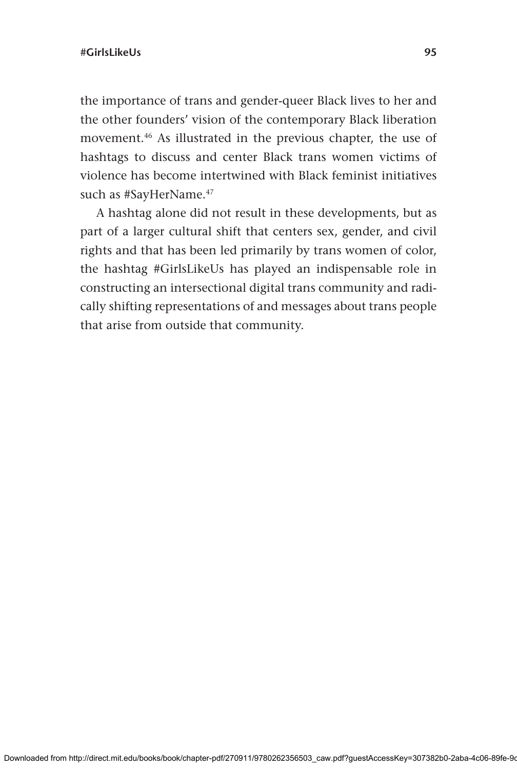#### **#GirlsLikeUs 95**

the importance of trans and gender-queer Black lives to her and the other founders' vision of the contemporary Black liberation movement.46 As illustrated in the previous chapter, the use of hashtags to discuss and center Black trans women victims of violence has become intertwined with Black feminist initiatives such as #SayHerName.<sup>47</sup>

A hashtag alone did not result in these developments, but as part of a larger cultural shift that centers sex, gender, and civil rights and that has been led primarily by trans women of color, the hashtag #GirlsLikeUs has played an indispensable role in constructing an intersectional digital trans community and radically shifting representations of and messages about trans people that arise from outside that community.